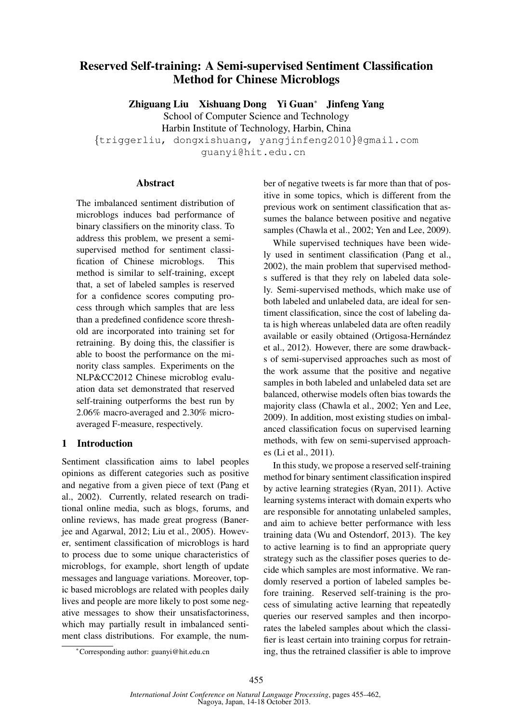# Reserved Self-training: A Semi-supervised Sentiment Classification Method for Chinese Microblogs

Zhiguang Liu Xishuang Dong Yi Guan<sup>∗</sup> Jinfeng Yang School of Computer Science and Technology Harbin Institute of Technology, Harbin, China {triggerliu, dongxishuang, yangjinfeng2010}@gmail.com guanyi@hit.edu.cn

## Abstract

The imbalanced sentiment distribution of microblogs induces bad performance of binary classifiers on the minority class. To address this problem, we present a semisupervised method for sentiment classification of Chinese microblogs. This method is similar to self-training, except that, a set of labeled samples is reserved for a confidence scores computing process through which samples that are less than a predefined confidence score threshold are incorporated into training set for retraining. By doing this, the classifier is able to boost the performance on the minority class samples. Experiments on the NLP&CC2012 Chinese microblog evaluation data set demonstrated that reserved self-training outperforms the best run by 2.06% macro-averaged and 2.30% microaveraged F-measure, respectively.

## 1 Introduction

Sentiment classification aims to label peoples opinions as different categories such as positive and negative from a given piece of text (Pang et al., 2002). Currently, related research on traditional online media, such as blogs, forums, and online reviews, has made great progress (Banerjee and Agarwal, 2012; Liu et al., 2005). However, sentiment classification of microblogs is hard to process due to some unique characteristics of microblogs, for example, short length of update messages and language variations. Moreover, topic based microblogs are related with peoples daily lives and people are more likely to post some negative messages to show their unsatisfactoriness, which may partially result in imbalanced sentiment class distributions. For example, the number of negative tweets is far more than that of positive in some topics, which is different from the previous work on sentiment classification that assumes the balance between positive and negative samples (Chawla et al., 2002; Yen and Lee, 2009).

While supervised techniques have been widely used in sentiment classification (Pang et al., 2002), the main problem that supervised methods suffered is that they rely on labeled data solely. Semi-supervised methods, which make use of both labeled and unlabeled data, are ideal for sentiment classification, since the cost of labeling data is high whereas unlabeled data are often readily available or easily obtained (Ortigosa-Hernández et al., 2012). However, there are some drawbacks of semi-supervised approaches such as most of the work assume that the positive and negative samples in both labeled and unlabeled data set are balanced, otherwise models often bias towards the majority class (Chawla et al., 2002; Yen and Lee, 2009). In addition, most existing studies on imbalanced classification focus on supervised learning methods, with few on semi-supervised approaches (Li et al., 2011).

In this study, we propose a reserved self-training method for binary sentiment classification inspired by active learning strategies (Ryan, 2011). Active learning systems interact with domain experts who are responsible for annotating unlabeled samples, and aim to achieve better performance with less training data (Wu and Ostendorf, 2013). The key to active learning is to find an appropriate query strategy such as the classifier poses queries to decide which samples are most informative. We randomly reserved a portion of labeled samples before training. Reserved self-training is the process of simulating active learning that repeatedly queries our reserved samples and then incorporates the labeled samples about which the classifier is least certain into training corpus for retraining, thus the retrained classifier is able to improve

<sup>∗</sup>Corresponding author: guanyi@hit.edu.cn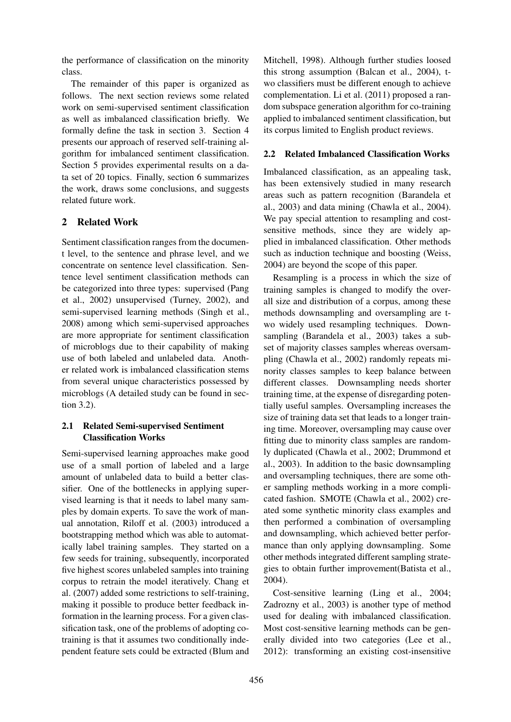the performance of classification on the minority class.

The remainder of this paper is organized as follows. The next section reviews some related work on semi-supervised sentiment classification as well as imbalanced classification briefly. We formally define the task in section 3. Section 4 presents our approach of reserved self-training algorithm for imbalanced sentiment classification. Section 5 provides experimental results on a data set of 20 topics. Finally, section 6 summarizes the work, draws some conclusions, and suggests related future work.

# 2 Related Work

Sentiment classification ranges from the document level, to the sentence and phrase level, and we concentrate on sentence level classification. Sentence level sentiment classification methods can be categorized into three types: supervised (Pang et al., 2002) unsupervised (Turney, 2002), and semi-supervised learning methods (Singh et al., 2008) among which semi-supervised approaches are more appropriate for sentiment classification of microblogs due to their capability of making use of both labeled and unlabeled data. Another related work is imbalanced classification stems from several unique characteristics possessed by microblogs (A detailed study can be found in section 3.2).

# 2.1 Related Semi-supervised Sentiment Classification Works

Semi-supervised learning approaches make good use of a small portion of labeled and a large amount of unlabeled data to build a better classifier. One of the bottlenecks in applying supervised learning is that it needs to label many samples by domain experts. To save the work of manual annotation, Riloff et al. (2003) introduced a bootstrapping method which was able to automatically label training samples. They started on a few seeds for training, subsequently, incorporated five highest scores unlabeled samples into training corpus to retrain the model iteratively. Chang et al. (2007) added some restrictions to self-training, making it possible to produce better feedback information in the learning process. For a given classification task, one of the problems of adopting cotraining is that it assumes two conditionally independent feature sets could be extracted (Blum and

Mitchell, 1998). Although further studies loosed this strong assumption (Balcan et al., 2004), two classifiers must be different enough to achieve complementation. Li et al. (2011) proposed a random subspace generation algorithm for co-training applied to imbalanced sentiment classification, but its corpus limited to English product reviews.

# 2.2 Related Imbalanced Classification Works

Imbalanced classification, as an appealing task, has been extensively studied in many research areas such as pattern recognition (Barandela et al., 2003) and data mining (Chawla et al., 2004). We pay special attention to resampling and costsensitive methods, since they are widely applied in imbalanced classification. Other methods such as induction technique and boosting (Weiss, 2004) are beyond the scope of this paper.

Resampling is a process in which the size of training samples is changed to modify the overall size and distribution of a corpus, among these methods downsampling and oversampling are two widely used resampling techniques. Downsampling (Barandela et al., 2003) takes a subset of majority classes samples whereas oversampling (Chawla et al., 2002) randomly repeats minority classes samples to keep balance between different classes. Downsampling needs shorter training time, at the expense of disregarding potentially useful samples. Oversampling increases the size of training data set that leads to a longer training time. Moreover, oversampling may cause over fitting due to minority class samples are randomly duplicated (Chawla et al., 2002; Drummond et al., 2003). In addition to the basic downsampling and oversampling techniques, there are some other sampling methods working in a more complicated fashion. SMOTE (Chawla et al., 2002) created some synthetic minority class examples and then performed a combination of oversampling and downsampling, which achieved better performance than only applying downsampling. Some other methods integrated different sampling strategies to obtain further improvement(Batista et al., 2004).

Cost-sensitive learning (Ling et al., 2004; Zadrozny et al., 2003) is another type of method used for dealing with imbalanced classification. Most cost-sensitive learning methods can be generally divided into two categories (Lee et al., 2012): transforming an existing cost-insensitive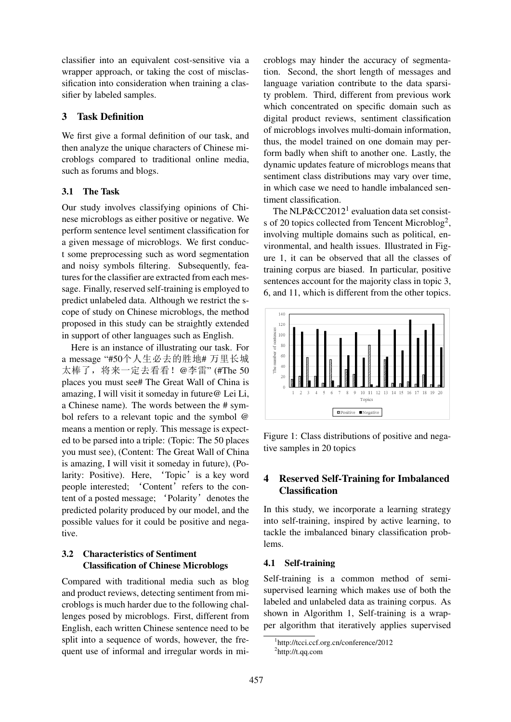classifier into an equivalent cost-sensitive via a wrapper approach, or taking the cost of misclassification into consideration when training a classifier by labeled samples.

## 3 Task Definition

We first give a formal definition of our task, and then analyze the unique characters of Chinese microblogs compared to traditional online media, such as forums and blogs.

## 3.1 The Task

Our study involves classifying opinions of Chinese microblogs as either positive or negative. We perform sentence level sentiment classification for a given message of microblogs. We first conduct some preprocessing such as word segmentation and noisy symbols filtering. Subsequently, features for the classifier are extracted from each message. Finally, reserved self-training is employed to predict unlabeled data. Although we restrict the scope of study on Chinese microblogs, the method proposed in this study can be straightly extended in support of other languages such as English.

Here is an instance of illustrating our task. For a message "#50个人生必去的胜地# 万里长城 太棒了,将来一定去看看! @李雷"(#The 50 places you must see# The Great Wall of China is amazing, I will visit it someday in future@ Lei Li, a Chinese name). The words between the # symbol refers to a relevant topic and the symbol @ means a mention or reply. This message is expected to be parsed into a triple: (Topic: The 50 places you must see), (Content: The Great Wall of China is amazing, I will visit it someday in future), (Polarity: Positive). Here, 'Topic' is a key word people interested; 'Content' refers to the content of a posted message; 'Polarity' denotes the predicted polarity produced by our model, and the possible values for it could be positive and negative.

# 3.2 Characteristics of Sentiment Classification of Chinese Microblogs

Compared with traditional media such as blog and product reviews, detecting sentiment from microblogs is much harder due to the following challenges posed by microblogs. First, different from English, each written Chinese sentence need to be split into a sequence of words, however, the frequent use of informal and irregular words in microblogs may hinder the accuracy of segmentation. Second, the short length of messages and language variation contribute to the data sparsity problem. Third, different from previous work which concentrated on specific domain such as digital product reviews, sentiment classification of microblogs involves multi-domain information, thus, the model trained on one domain may perform badly when shift to another one. Lastly, the dynamic updates feature of microblogs means that sentiment class distributions may vary over time, in which case we need to handle imbalanced sentiment classification.

The NLP&CC2012<sup>1</sup> evaluation data set consists of 20 topics collected from Tencent Microblog<sup>2</sup>, involving multiple domains such as political, environmental, and health issues. Illustrated in Figure 1, it can be observed that all the classes of training corpus are biased. In particular, positive sentences account for the majority class in topic 3, 6, and 11, which is different from the other topics.



Figure 1: Class distributions of positive and negative samples in 20 topics

# 4 Reserved Self-Training for Imbalanced Classification

In this study, we incorporate a learning strategy into self-training, inspired by active learning, to tackle the imbalanced binary classification problems.

### 4.1 Self-training

Self-training is a common method of semisupervised learning which makes use of both the labeled and unlabeled data as training corpus. As shown in Algorithm 1, Self-training is a wrapper algorithm that iteratively applies supervised

<sup>1</sup> http://tcci.ccf.org.cn/conference/2012 2 http://t.qq.com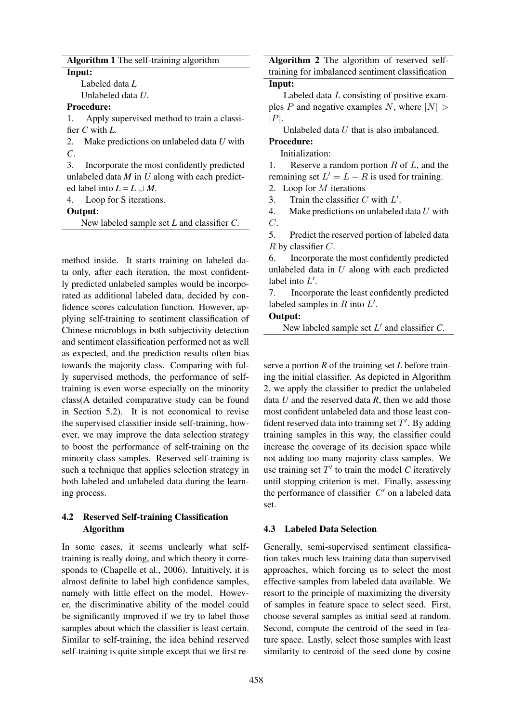### Algorithm 1 The self-training algorithm

Input:

Labeled data *L*

Unlabeled data *U*.

### Procedure:

1. Apply supervised method to train a classifier *C* with *L*.

2. Make predictions on unlabeled data *U* with *C*.

3. Incorporate the most confidently predicted unlabeled data *M* in *U* along with each predicted label into  $L = L \cup M$ .

4. Loop for S iterations.

Output:

New labeled sample set *L* and classifier *C*.

method inside. It starts training on labeled data only, after each iteration, the most confidently predicted unlabeled samples would be incorporated as additional labeled data, decided by confidence scores calculation function. However, applying self-training to sentiment classification of Chinese microblogs in both subjectivity detection and sentiment classification performed not as well as expected, and the prediction results often bias towards the majority class. Comparing with fully supervised methods, the performance of selftraining is even worse especially on the minority class(A detailed comparative study can be found in Section 5.2). It is not economical to revise the supervised classifier inside self-training, however, we may improve the data selection strategy to boost the performance of self-training on the minority class samples. Reserved self-training is such a technique that applies selection strategy in both labeled and unlabeled data during the learning process.

# 4.2 Reserved Self-training Classification Algorithm

In some cases, it seems unclearly what selftraining is really doing, and which theory it corresponds to (Chapelle et al., 2006). Intuitively, it is almost definite to label high confidence samples, namely with little effect on the model. However, the discriminative ability of the model could be significantly improved if we try to label those samples about which the classifier is least certain. Similar to self-training, the idea behind reserved self-training is quite simple except that we first re-

Algorithm 2 The algorithm of reserved selftraining for imbalanced sentiment classification

# Input:

Labeled data L consisting of positive examples P and negative examples N, where  $|N| >$  $|P|$ .

Unlabeled data U that is also imbalanced.

## Procedure:

Initialization:

1. Reserve a random portion  $R$  of  $L$ , and the

remaining set  $L' = L - R$  is used for training.

2. Loop for  $M$  iterations

3. Train the classifier C with  $L'$ .

4. Make predictions on unlabeled data  $U$  with  $C$ .

5. Predict the reserved portion of labeled data  $R$  by classifier  $C$ .

6. Incorporate the most confidently predicted unlabeled data in  $U$  along with each predicted label into  $L'$ .

7. Incorporate the least confidently predicted labeled samples in  $R$  into  $L'$ .

### Output:

New labeled sample set  $L'$  and classifier  $C$ .

serve a portion *R* of the training set *L* before training the initial classifier. As depicted in Algorithm 2, we apply the classifier to predict the unlabeled data *U* and the reserved data *R*, then we add those most confident unlabeled data and those least confident reserved data into training set  $T'$ . By adding training samples in this way, the classifier could increase the coverage of its decision space while not adding too many majority class samples. We use training set  $T'$  to train the model  $C$  iteratively until stopping criterion is met. Finally, assessing the performance of classifier  $C'$  on a labeled data set.

## 4.3 Labeled Data Selection

Generally, semi-supervised sentiment classification takes much less training data than supervised approaches, which forcing us to select the most effective samples from labeled data available. We resort to the principle of maximizing the diversity of samples in feature space to select seed. First, choose several samples as initial seed at random. Second, compute the centroid of the seed in feature space. Lastly, select those samples with least similarity to centroid of the seed done by cosine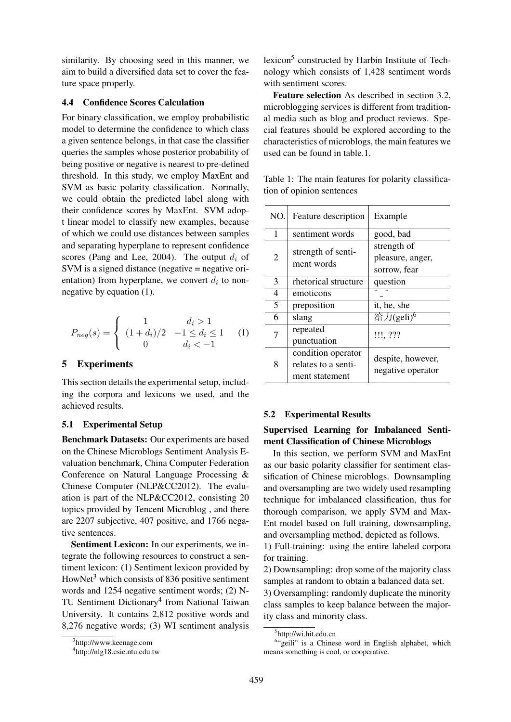similarity. By choosing seed in this manner, we aim to build a diversified data set to cover the feature space properly.

### 4.4 Confidence Scores Calculation

For binary classification, we employ probabilistic model to determine the confidence to which class a given sentence belongs, in that case the classifier queries the samples whose posterior probability of being positive or negative is nearest to pre-defined threshold. In this study, we employ MaxEnt and SVM as basic polarity classification. Normally, we could obtain the predicted label along with their confidence scores by MaxEnt. SVM adopt linear model to classify new examples, because of which we could use distances between samples and separating hyperplane to represent confidence scores (Pang and Lee, 2004). The output  $d_i$  of  $SVM$  is a signed distance (negative  $=$  negative orientation) from hyperplane, we convert  $d_i$  to nonnegative by equation (1).

$$
P_{neg}(s) = \begin{cases} 1 & d_i > 1 \\ (1 + d_i)/2 & -1 \le d_i \le 1 \\ 0 & d_i < -1 \end{cases}
$$
 (1)

### 5 Experiments

This section details the experimental setup, including the corpora and lexicons we used, and the achieved results.

#### 5.1 Experimental Setup

Benchmark Datasets: Our experiments are based on the Chinese Microblogs Sentiment Analysis Evaluation benchmark, China Computer Federation Conference on Natural Language Processing & Chinese Computer (NLP&CC2012). The evaluation is part of the NLP&CC2012, consisting 20 topics provided by Tencent Microblog , and there are 2207 subjective, 407 positive, and 1766 negative sentences.

Sentiment Lexicon: In our experiments, we integrate the following resources to construct a sentiment lexicon: (1) Sentiment lexicon provided by HowNet<sup>3</sup> which consists of 836 positive sentiment words and 1254 negative sentiment words; (2) N-TU Sentiment Dictionary<sup>4</sup> from National Taiwan University. It contains 2,812 positive words and 8,276 negative words; (3) WI sentiment analysis lexicon<sup>5</sup> constructed by Harbin Institute of Technology which consists of 1,428 sentiment words with sentiment scores.

Feature selection As described in section 3.2, microblogging services is different from traditional media such as blog and product reviews. Special features should be explored according to the characteristics of microblogs, the main features we used can be found in table.1.

tion of opinion sentences  $\overline{N_{\Omega}}$ . Feature description  $\overline{E_{\Omega}}$ 1 sentiment words | good, bad

Table 1: The main features for polarity classifica-

| NU. | Feature description                                         | Example                                         |
|-----|-------------------------------------------------------------|-------------------------------------------------|
| 1   | sentiment words                                             | good, bad                                       |
| 2   | strength of senti-<br>ment words                            | strength of<br>pleasure, anger,<br>sorrow, fear |
| 3   | rhetorical structure                                        | question                                        |
| 4   | emoticons                                                   |                                                 |
| 5   | preposition                                                 | it, he, she                                     |
| 6   | slang                                                       | 给力(geli) <sup>6</sup>                           |
|     | repeated<br>punctuation                                     | !!!, ???                                        |
| 8   | condition operator<br>relates to a senti-<br>ment statement | despite, however,<br>negative operator          |

### 5.2 Experimental Results

## Supervised Learning for Imbalanced Sentiment Classification of Chinese Microblogs

In this section, we perform SVM and MaxEnt as our basic polarity classifier for sentiment classification of Chinese microblogs. Downsampling and oversampling are two widely used resampling technique for imbalanced classification, thus for thorough comparison, we apply SVM and Max-Ent model based on full training, downsampling, and oversampling method, depicted as follows.

1) Full-training: using the entire labeled corpora for training.

2) Downsampling: drop some of the majority class samples at random to obtain a balanced data set.

3) Oversampling: randomly duplicate the minority class samples to keep balance between the majority class and minority class.

<sup>3</sup> http://www.keenage.com

<sup>4</sup> http://nlg18.csie.ntu.edu.tw

<sup>5</sup> http://wi.hit.edu.cn

<sup>&</sup>lt;sup>6</sup>"geili" is a Chinese word in English alphabet, which means something is cool, or cooperative.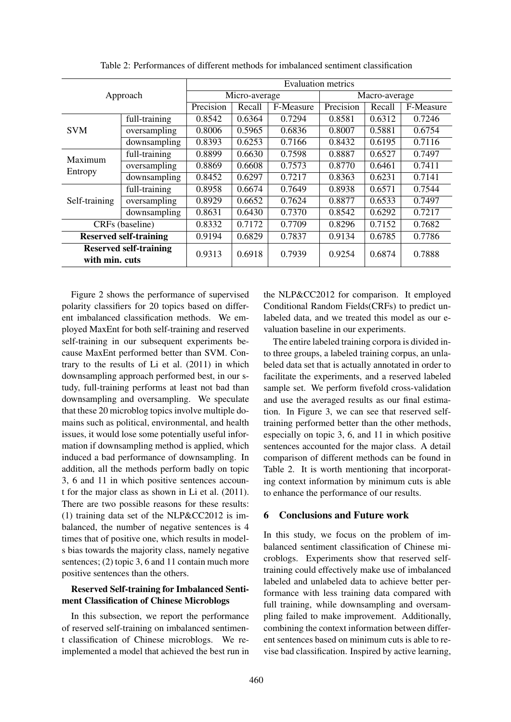| Approach                                        |               | <b>Evaluation metrics</b> |        |               |           |        |           |  |
|-------------------------------------------------|---------------|---------------------------|--------|---------------|-----------|--------|-----------|--|
|                                                 |               | Micro-average             |        | Macro-average |           |        |           |  |
|                                                 |               | Precision                 | Recall | F-Measure     | Precision | Recall | F-Measure |  |
| <b>SVM</b>                                      | full-training | 0.8542                    | 0.6364 | 0.7294        | 0.8581    | 0.6312 | 0.7246    |  |
|                                                 | oversampling  | 0.8006                    | 0.5965 | 0.6836        | 0.8007    | 0.5881 | 0.6754    |  |
|                                                 | downsampling  | 0.8393                    | 0.6253 | 0.7166        | 0.8432    | 0.6195 | 0.7116    |  |
| Maximum<br>Entropy                              | full-training | 0.8899                    | 0.6630 | 0.7598        | 0.8887    | 0.6527 | 0.7497    |  |
|                                                 | oversampling  | 0.8869                    | 0.6608 | 0.7573        | 0.8770    | 0.6461 | 0.7411    |  |
|                                                 | downsampling  | 0.8452                    | 0.6297 | 0.7217        | 0.8363    | 0.6231 | 0.7141    |  |
| Self-training                                   | full-training | 0.8958                    | 0.6674 | 0.7649        | 0.8938    | 0.6571 | 0.7544    |  |
|                                                 | oversampling  | 0.8929                    | 0.6652 | 0.7624        | 0.8877    | 0.6533 | 0.7497    |  |
|                                                 | downsampling  | 0.8631                    | 0.6430 | 0.7370        | 0.8542    | 0.6292 | 0.7217    |  |
| CRFs (baseline)                                 |               | 0.8332                    | 0.7172 | 0.7709        | 0.8296    | 0.7152 | 0.7682    |  |
| <b>Reserved self-training</b>                   |               | 0.9194                    | 0.6829 | 0.7837        | 0.9134    | 0.6785 | 0.7786    |  |
| <b>Reserved self-training</b><br>with min. cuts |               | 0.9313                    | 0.6918 | 0.7939        | 0.9254    | 0.6874 | 0.7888    |  |

Table 2: Performances of different methods for imbalanced sentiment classification

Figure 2 shows the performance of supervised polarity classifiers for 20 topics based on different imbalanced classification methods. We employed MaxEnt for both self-training and reserved self-training in our subsequent experiments because MaxEnt performed better than SVM. Contrary to the results of Li et al. (2011) in which downsampling approach performed best, in our study, full-training performs at least not bad than downsampling and oversampling. We speculate that these 20 microblog topics involve multiple domains such as political, environmental, and health issues, it would lose some potentially useful information if downsampling method is applied, which induced a bad performance of downsampling. In addition, all the methods perform badly on topic 3, 6 and 11 in which positive sentences account for the major class as shown in Li et al. (2011). There are two possible reasons for these results: (1) training data set of the NLP&CC2012 is imbalanced, the number of negative sentences is 4 times that of positive one, which results in models bias towards the majority class, namely negative sentences; (2) topic 3, 6 and 11 contain much more positive sentences than the others.

## Reserved Self-training for Imbalanced Sentiment Classification of Chinese Microblogs

In this subsection, we report the performance of reserved self-training on imbalanced sentiment classification of Chinese microblogs. We reimplemented a model that achieved the best run in the NLP&CC2012 for comparison. It employed Conditional Random Fields(CRFs) to predict unlabeled data, and we treated this model as our evaluation baseline in our experiments.

The entire labeled training corpora is divided into three groups, a labeled training corpus, an unlabeled data set that is actually annotated in order to facilitate the experiments, and a reserved labeled sample set. We perform fivefold cross-validation and use the averaged results as our final estimation. In Figure 3, we can see that reserved selftraining performed better than the other methods, especially on topic 3, 6, and 11 in which positive sentences accounted for the major class. A detail comparison of different methods can be found in Table 2. It is worth mentioning that incorporating context information by minimum cuts is able to enhance the performance of our results.

## 6 Conclusions and Future work

In this study, we focus on the problem of imbalanced sentiment classification of Chinese microblogs. Experiments show that reserved selftraining could effectively make use of imbalanced labeled and unlabeled data to achieve better performance with less training data compared with full training, while downsampling and oversampling failed to make improvement. Additionally, combining the context information between different sentences based on minimum cuts is able to revise bad classification. Inspired by active learning,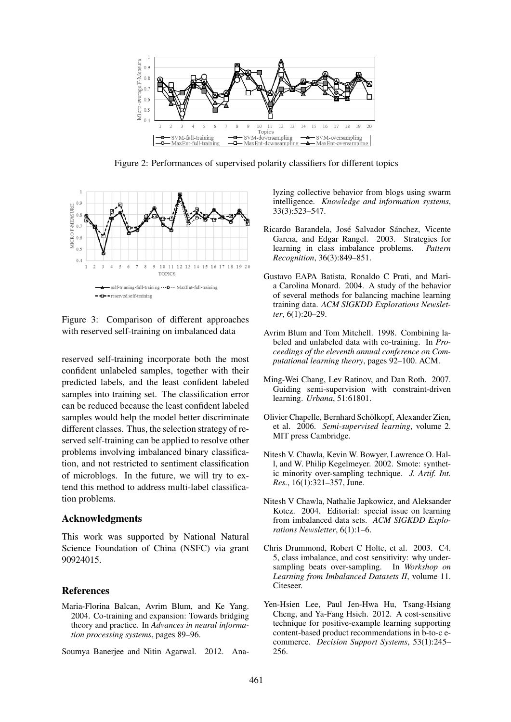

Figure 2: Performances of supervised polarity classifiers for different topics



Figure 3: Comparison of different approaches with reserved self-training on imbalanced data

reserved self-training incorporate both the most confident unlabeled samples, together with their predicted labels, and the least confident labeled samples into training set. The classification error can be reduced because the least confident labeled samples would help the model better discriminate different classes. Thus, the selection strategy of reserved self-training can be applied to resolve other problems involving imbalanced binary classification, and not restricted to sentiment classification of microblogs. In the future, we will try to extend this method to address multi-label classification problems.

### Acknowledgments

This work was supported by National Natural Science Foundation of China (NSFC) via grant 90924015.

### References

- Maria-Florina Balcan, Avrim Blum, and Ke Yang. 2004. Co-training and expansion: Towards bridging theory and practice. In *Advances in neural information processing systems*, pages 89–96.
- Soumya Banerjee and Nitin Agarwal. 2012. Ana-

lyzing collective behavior from blogs using swarm intelligence. *Knowledge and information systems*, 33(3):523–547.

- Ricardo Barandela, José Salvador Sánchez, Vicente Garcıa, and Edgar Rangel. 2003. Strategies for learning in class imbalance problems. *Pattern Recognition*, 36(3):849–851.
- Gustavo EAPA Batista, Ronaldo C Prati, and Maria Carolina Monard. 2004. A study of the behavior of several methods for balancing machine learning training data. *ACM SIGKDD Explorations Newsletter*, 6(1):20–29.
- Avrim Blum and Tom Mitchell. 1998. Combining labeled and unlabeled data with co-training. In *Proceedings of the eleventh annual conference on Computational learning theory*, pages 92–100. ACM.
- Ming-Wei Chang, Lev Ratinov, and Dan Roth. 2007. Guiding semi-supervision with constraint-driven learning. *Urbana*, 51:61801.
- Olivier Chapelle, Bernhard Scholkopf, Alexander Zien, ¨ et al. 2006. *Semi-supervised learning*, volume 2. MIT press Cambridge.
- Nitesh V. Chawla, Kevin W. Bowyer, Lawrence O. Hall, and W. Philip Kegelmeyer. 2002. Smote: synthetic minority over-sampling technique. *J. Artif. Int. Res.*, 16(1):321–357, June.
- Nitesh V Chawla, Nathalie Japkowicz, and Aleksander Kotcz. 2004. Editorial: special issue on learning from imbalanced data sets. *ACM SIGKDD Explorations Newsletter*, 6(1):1–6.
- Chris Drummond, Robert C Holte, et al. 2003. C4. 5, class imbalance, and cost sensitivity: why undersampling beats over-sampling. In *Workshop on Learning from Imbalanced Datasets II*, volume 11. Citeseer.
- Yen-Hsien Lee, Paul Jen-Hwa Hu, Tsang-Hsiang Cheng, and Ya-Fang Hsieh. 2012. A cost-sensitive technique for positive-example learning supporting content-based product recommendations in b-to-c ecommerce. *Decision Support Systems*, 53(1):245– 256.